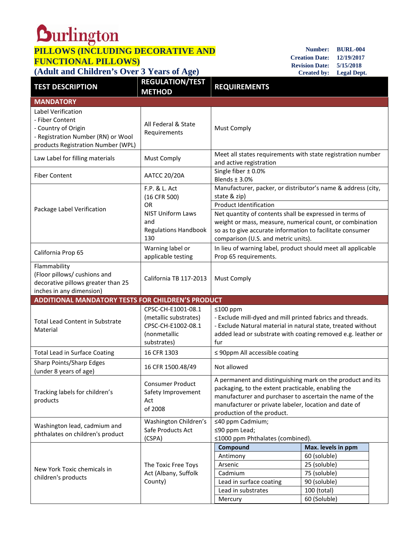## **PILLOWS (INCLUDING DECORATIVE AND FUNCTIONAL PILLOWS)**

## **(Adult and Children's Over 3 Years of Age)**

**Number: BURL-004 Creation Date: 12/19/2017 Revision Date: 5/15/2018 Created by: Legal Dept.**

| <b>TEST DESCRIPTION</b>                                                                                                                  | <b>REGULATION/TEST</b><br><b>METHOD</b>                                                          | <b>REQUIREMENTS</b>                                                                                                                                                                                                                                                |                                                                                                                   |  |  |
|------------------------------------------------------------------------------------------------------------------------------------------|--------------------------------------------------------------------------------------------------|--------------------------------------------------------------------------------------------------------------------------------------------------------------------------------------------------------------------------------------------------------------------|-------------------------------------------------------------------------------------------------------------------|--|--|
| <b>MANDATORY</b>                                                                                                                         |                                                                                                  |                                                                                                                                                                                                                                                                    |                                                                                                                   |  |  |
| Label Verification<br>- Fiber Content<br>- Country of Origin<br>- Registration Number (RN) or Wool<br>products Registration Number (WPL) | All Federal & State<br>Requirements                                                              | <b>Must Comply</b>                                                                                                                                                                                                                                                 |                                                                                                                   |  |  |
| Law Label for filling materials                                                                                                          | <b>Must Comply</b>                                                                               | Meet all states requirements with state registration number<br>and active registration                                                                                                                                                                             |                                                                                                                   |  |  |
| <b>Fiber Content</b>                                                                                                                     | <b>AATCC 20/20A</b>                                                                              | Single fiber ± 0.0%<br>Blends $\pm$ 3.0%                                                                                                                                                                                                                           |                                                                                                                   |  |  |
| Package Label Verification                                                                                                               | F.P. & L. Act<br>(16 CFR 500)<br><b>OR</b><br><b>NIST Uniform Laws</b>                           | Manufacturer, packer, or distributor's name & address (city,<br>state & zip)<br><b>Product Identification</b><br>Net quantity of contents shall be expressed in terms of                                                                                           |                                                                                                                   |  |  |
|                                                                                                                                          | and<br><b>Regulations Handbook</b><br>130                                                        | weight or mass, measure, numerical count, or combination<br>so as to give accurate information to facilitate consumer<br>comparison (U.S. and metric units).                                                                                                       |                                                                                                                   |  |  |
| California Prop 65                                                                                                                       | Warning label or<br>applicable testing                                                           | In lieu of warning label, product should meet all applicable<br>Prop 65 requirements.                                                                                                                                                                              |                                                                                                                   |  |  |
| Flammability<br>(Floor pillows/ cushions and<br>decorative pillows greater than 25<br>inches in any dimension)                           | California TB 117-2013                                                                           | <b>Must Comply</b>                                                                                                                                                                                                                                                 |                                                                                                                   |  |  |
| <b>ADDITIONAL MANDATORY TESTS FOR CHILDREN'S PRODUCT</b>                                                                                 |                                                                                                  |                                                                                                                                                                                                                                                                    |                                                                                                                   |  |  |
| <b>Total Lead Content in Substrate</b><br>Material                                                                                       | CPSC-CH-E1001-08.1<br>(metallic substrates)<br>CPSC-CH-E1002-08.1<br>(nonmetallic<br>substrates) | ≤100 ppm<br>- Exclude mill-dyed and mill printed fabrics and threads.<br>- Exclude Natural material in natural state, treated without<br>added lead or substrate with coating removed e.g. leather or<br>fur                                                       |                                                                                                                   |  |  |
| <b>Total Lead in Surface Coating</b>                                                                                                     | 16 CFR 1303                                                                                      | ≤ 90ppm All accessible coating                                                                                                                                                                                                                                     |                                                                                                                   |  |  |
| Sharp Points/Sharp Edges<br>(under 8 years of age)                                                                                       | 16 CFR 1500.48/49                                                                                | Not allowed                                                                                                                                                                                                                                                        |                                                                                                                   |  |  |
| Tracking labels for children's<br>products                                                                                               | <b>Consumer Product</b><br>Safety Improvement<br>Act<br>of 2008                                  | A permanent and distinguishing mark on the product and its<br>packaging, to the extent practicable, enabling the<br>manufacturer and purchaser to ascertain the name of the<br>manufacturer or private labeler, location and date of<br>production of the product. |                                                                                                                   |  |  |
| Washington lead, cadmium and<br>phthalates on children's product                                                                         | Washington Children's<br>Safe Products Act<br>(CSPA)                                             | ≤40 ppm Cadmium;<br>≤90 ppm Lead;<br>≤1000 ppm Phthalates (combined).                                                                                                                                                                                              |                                                                                                                   |  |  |
| New York Toxic chemicals in<br>children's products                                                                                       | The Toxic Free Toys<br>Act (Albany, Suffolk<br>County)                                           | Compound<br>Antimony<br>Arsenic<br>Cadmium<br>Lead in surface coating<br>Lead in substrates<br>Mercury                                                                                                                                                             | Max. levels in ppm<br>60 (soluble)<br>25 (soluble)<br>75 (soluble)<br>90 (soluble)<br>100 (total)<br>60 (Soluble) |  |  |